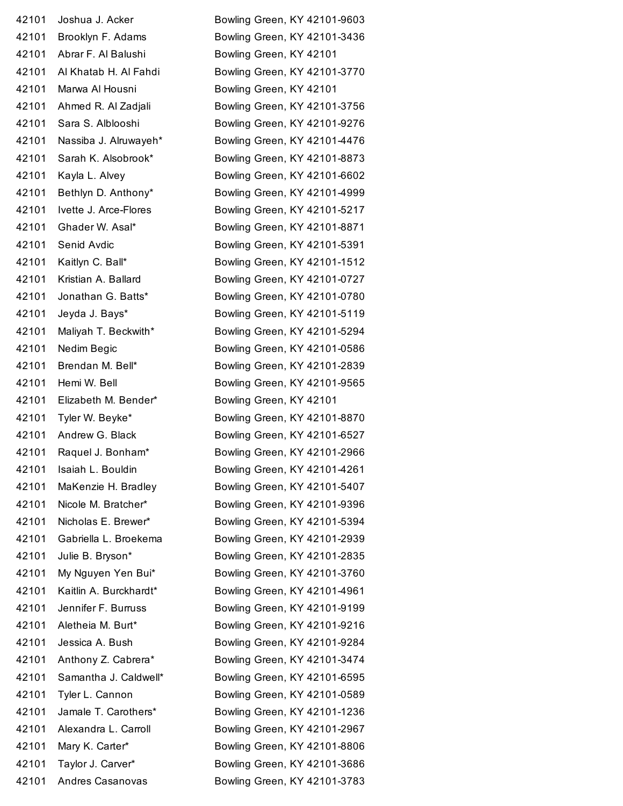| 42101 | Joshua J. Acker        |
|-------|------------------------|
| 42101 | Brooklyn F. Adams      |
| 42101 | Abrar F. Al Balushi    |
| 42101 | Al Khatab H. Al Fahdi  |
| 42101 | Marwa Al Housni        |
| 42101 | Ahmed R. Al Zadjali    |
| 42101 | Sara S. Alblooshi      |
| 42101 | Nassiba J. Alruwayeh*  |
| 42101 | Sarah K. Alsobrook*    |
| 42101 | Kayla L. Alvey         |
| 42101 | Bethlyn D. Anthony*    |
| 42101 | Ivette J. Arce-Flores  |
| 42101 | Ghader W. Asal*        |
| 42101 | Senid Avdic            |
| 42101 | Kaitlyn C. Ball*       |
| 42101 | Kristian A. Ballard    |
| 42101 | Jonathan G. Batts*     |
| 42101 | Jeyda J. Bays*         |
| 42101 | Maliyah T. Beckwith*   |
| 42101 | Nedim Begic            |
| 42101 | Brendan M. Bell*       |
| 42101 | Hemi W. Bell           |
| 42101 | Elizabeth M. Bender*   |
| 42101 | Tyler W. Beyke*        |
| 42101 | Andrew G. Black        |
| 42101 | Raquel J. Bonham*      |
| 42101 | Isaiah L. Bouldin      |
| 42101 | MaKenzie H. Bradley    |
| 42101 | Nicole M. Bratcher*    |
| 42101 | Nicholas E. Brewer*    |
| 42101 | Gabriella L. Broekema  |
| 42101 | Julie B. Bryson*       |
| 42101 | My Nguyen Yen Bui*     |
| 42101 | Kaitlin A. Burckhardt* |
| 42101 | Jennifer F. Burruss    |
| 42101 | Aletheia M. Burt*      |
| 42101 | Jessica A. Bush        |
| 42101 | Anthony Z. Cabrera*    |
| 42101 | Samantha J. Caldwell*  |
| 42101 | Tyler L. Cannon        |
| 42101 | Jamale T. Carothers*   |
| 42101 | Alexandra L. Carroll   |
| 42101 | Mary K. Carter*        |
| 42101 | Taylor J. Carver*      |
| 42101 | Andres Casanovas       |

Bowling Green, KY 42101-9603 Bowling Green, KY 42101-3436 Bowling Green, KY 42101 Bowling Green, KY 42101-3770 Bowling Green, KY 42101 Bowling Green, KY 42101-3756 Bowling Green, KY 42101-9276 Bowling Green, KY 42101-4476 Bowling Green, KY 42101-8873 Bowling Green, KY 42101-6602 Bowling Green, KY 42101-4999 Bowling Green, KY 42101-5217 Bowling Green, KY 42101-8871 Bowling Green, KY 42101-5391 Bowling Green, KY 42101-1512 Bowling Green, KY 42101-0727 Bowling Green, KY 42101-0780 Bowling Green, KY 42101-5119 Bowling Green, KY 42101-5294 Bowling Green, KY 42101-0586 Bowling Green, KY 42101-2839 Bowling Green, KY 42101-9565 Bowling Green, KY 42101 Bowling Green, KY 42101-8870 Bowling Green, KY 42101-6527 Bowling Green, KY 42101-2966 Bowling Green, KY 42101-4261 Bowling Green, KY 42101-5407 Bowling Green, KY 42101-9396 Bowling Green, KY 42101-5394 Bowling Green, KY 42101-2939 Bowling Green, KY 42101-2835 Bowling Green, KY 42101-3760 Bowling Green, KY 42101-4961 Bowling Green, KY 42101-9199 Bowling Green, KY 42101-9216 Bowling Green, KY 42101-9284 Bowling Green, KY 42101-3474 Bowling Green, KY 42101-6595 Bowling Green, KY 42101-0589 Bowling Green, KY 42101-1236 Bowling Green, KY 42101-2967 Bowling Green, KY 42101-8806 Bowling Green, KY 42101-3686 Bowling Green, KY 42101-3783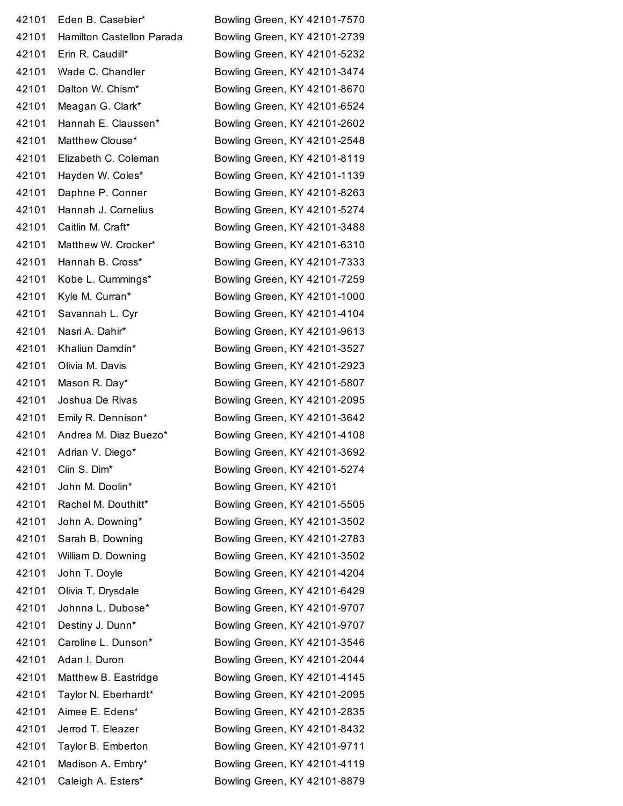| 42101 | Eden B. Casebier*         | Bowling Green, KY 42101-7570 |
|-------|---------------------------|------------------------------|
| 42101 | Hamilton Castellon Parada | Bowling Green, KY 42101-2739 |
| 42101 | Erin R. Caudill*          | Bowling Green, KY 42101-5232 |
| 42101 | Wade C. Chandler          | Bowling Green, KY 42101-3474 |
| 42101 | Dalton W. Chism*          | Bowling Green, KY 42101-8670 |
| 42101 | Meagan G. Clark*          | Bowling Green, KY 42101-6524 |
| 42101 | Hannah E. Claussen*       | Bowling Green, KY 42101-2602 |
| 42101 | Matthew Clouse*           | Bowling Green, KY 42101-2548 |
| 42101 | Elizabeth C. Coleman      | Bowling Green, KY 42101-8119 |
| 42101 | Hayden W. Coles*          | Bowling Green, KY 42101-1139 |
| 42101 | Daphne P. Conner          | Bowling Green, KY 42101-8263 |
| 42101 | Hannah J. Cornelius       | Bowling Green, KY 42101-5274 |
| 42101 | Caitlin M. Craft*         | Bowling Green, KY 42101-3488 |
| 42101 | Matthew W. Crocker*       | Bowling Green, KY 42101-6310 |
| 42101 | Hannah B. Cross*          | Bowling Green, KY 42101-7333 |
| 42101 | Kobe L. Cummings*         | Bowling Green, KY 42101-7259 |
| 42101 | Kyle M. Curran*           | Bowling Green, KY 42101-1000 |
| 42101 | Savannah L. Cyr           | Bowling Green, KY 42101-4104 |
| 42101 | Nasri A. Dahir*           | Bowling Green, KY 42101-9613 |
| 42101 | Khaliun Damdin*           | Bowling Green, KY 42101-3527 |
| 42101 | Olivia M. Davis           | Bowling Green, KY 42101-2923 |
| 42101 | Mason R. Day*             | Bowling Green, KY 42101-5807 |
| 42101 | Joshua De Rivas           | Bowling Green, KY 42101-2095 |
| 42101 | Emily R. Dennison*        | Bowling Green, KY 42101-3642 |
| 42101 | Andrea M. Diaz Buezo*     | Bowling Green, KY 42101-4108 |
| 42101 | Adrian V. Diego*          | Bowling Green, KY 42101-3692 |
| 42101 | Ciin S. Dim*              | Bowling Green, KY 42101-5274 |
| 42101 | John M. Doolin*           | Bowling Green, KY 42101      |
| 42101 | Rachel M. Douthitt*       | Bowling Green, KY 42101-5505 |
| 42101 | John A. Downing*          | Bowling Green, KY 42101-3502 |
| 42101 | Sarah B. Downing          | Bowling Green, KY 42101-2783 |
| 42101 | William D. Downing        | Bowling Green, KY 42101-3502 |
| 42101 | John T. Doyle             | Bowling Green, KY 42101-4204 |
| 42101 | Olivia T. Drysdale        | Bowling Green, KY 42101-6429 |
| 42101 | Johnna L. Dubose*         | Bowling Green, KY 42101-9707 |
| 42101 | Destiny J. Dunn*          | Bowling Green, KY 42101-9707 |
| 42101 | Caroline L. Dunson*       | Bowling Green, KY 42101-3546 |
| 42101 | Adan I. Duron             | Bowling Green, KY 42101-2044 |
| 42101 | Matthew B. Eastridge      | Bowling Green, KY 42101-4145 |
| 42101 | Taylor N. Eberhardt*      | Bowling Green, KY 42101-2095 |
| 42101 | Aimee E. Edens*           | Bowling Green, KY 42101-2835 |
| 42101 | Jerrod T. Eleazer         | Bowling Green, KY 42101-8432 |
| 42101 | Taylor B. Emberton        | Bowling Green, KY 42101-9711 |
| 42101 | Madison A. Embry*         | Bowling Green, KY 42101-4119 |
| 42101 | Caleigh A. Esters*        | Bowling Green, KY 42101-8879 |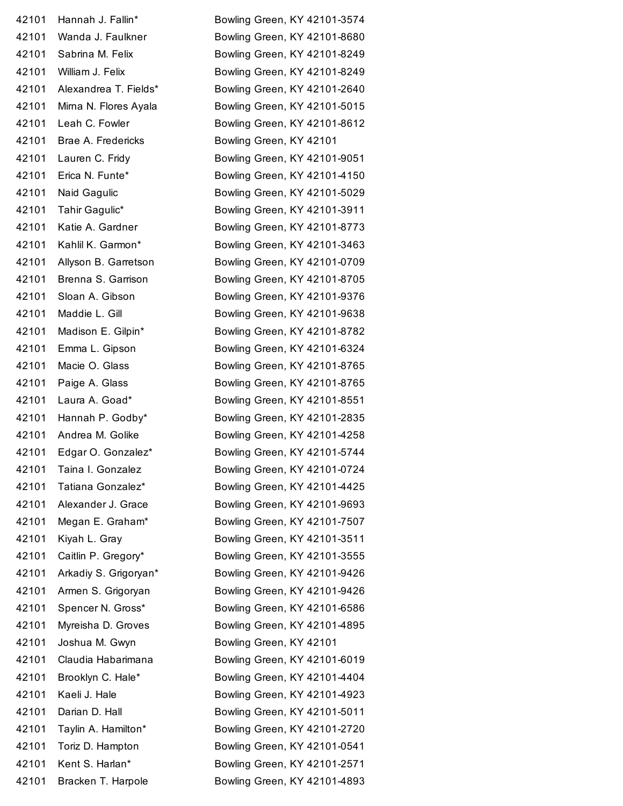Hannah J. Fallin\* Bowling Green, KY 42101-3574 Wanda J. Faulkner Bowling Green, KY 42101-8680 42101 Sabrina M. Felix Bowling Green, KY 42101-8249 William J. Felix Bowling Green, KY 42101-8249 Alexandrea T. Fields\* Bowling Green, KY 42101-2640 42101 Mirna N. Flores Ayala Bowling Green, KY 42101-5015 42101 Leah C. Fowler Bowling Green, KY 42101-8612 Brae A. Fredericks Bowling Green, KY 42101 Lauren C. Fridy Bowling Green, KY 42101-9051 Erica N. Funte\* Bowling Green, KY 42101-4150 42101 Naid Gagulic Bowling Green, KY 42101-5029 Tahir Gagulic\* Bowling Green, KY 42101-3911 42101 Katie A. Gardner Bowling Green, KY 42101-8773 Kahlil K. Garmon\* Bowling Green, KY 42101-3463 42101 Allyson B. Garretson Bowling Green, KY 42101-0709 Brenna S. Garrison Bowling Green, KY 42101-8705 Sloan A. Gibson Bowling Green, KY 42101-9376 42101 Maddie L. Gill **Bowling Green, KY 42101-9638**  Madison E. Gilpin\* Bowling Green, KY 42101-8782 Emma L. Gipson Bowling Green, KY 42101-6324 Macie O. Glass Bowling Green, KY 42101-8765 Paige A. Glass Bowling Green, KY 42101-8765 Laura A. Goad\* Bowling Green, KY 42101-8551 Hannah P. Godby\* Bowling Green, KY 42101-2835 Andrea M. Golike Bowling Green, KY 42101-4258 Edgar O. Gonzalez\* Bowling Green, KY 42101-5744 Taina I. Gonzalez Bowling Green, KY 42101-0724 Tatiana Gonzalez\* Bowling Green, KY 42101-4425 Alexander J. Grace Bowling Green, KY 42101-9693 Megan E. Graham\* Bowling Green, KY 42101-7507 Kiyah L. Gray Bowling Green, KY 42101-3511 Caitlin P. Gregory\* Bowling Green, KY 42101-3555 Arkadiy S. Grigoryan\* Bowling Green, KY 42101-9426 Armen S. Grigoryan Bowling Green, KY 42101-9426 Spencer N. Gross\* Bowling Green, KY 42101-6586 Myreisha D. Groves Bowling Green, KY 42101-4895 42101 Joshua M. Gwyn Bowling Green, KY 42101 Claudia Habarimana Bowling Green, KY 42101-6019 Brooklyn C. Hale\* Bowling Green, KY 42101-4404 Kaeli J. Hale Bowling Green, KY 42101-4923 Darian D. Hall Bowling Green, KY 42101-5011 Taylin A. Hamilton\* Bowling Green, KY 42101-2720 Toriz D. Hampton Bowling Green, KY 42101-0541 Kent S. Harlan\* Bowling Green, KY 42101-2571 Bracken T. Harpole Bowling Green, KY 42101-4893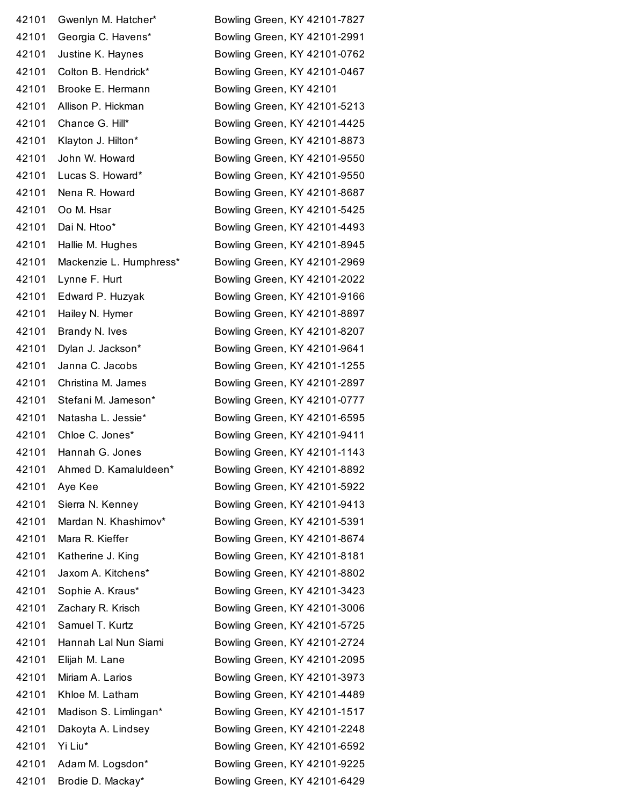| 42101 | Gwenlyn M. Hatcher*     | Bowling Green, KY 42101-7827 |
|-------|-------------------------|------------------------------|
| 42101 | Georgia C. Havens*      | Bowling Green, KY 42101-2991 |
| 42101 | Justine K. Haynes       | Bowling Green, KY 42101-0762 |
| 42101 | Colton B. Hendrick*     | Bowling Green, KY 42101-0467 |
| 42101 | Brooke E. Hermann       | Bowling Green, KY 42101      |
| 42101 | Allison P. Hickman      | Bowling Green, KY 42101-5213 |
| 42101 | Chance G. Hill*         | Bowling Green, KY 42101-4425 |
| 42101 | Klayton J. Hilton*      | Bowling Green, KY 42101-8873 |
| 42101 | John W. Howard          | Bowling Green, KY 42101-9550 |
| 42101 | Lucas S. Howard*        | Bowling Green, KY 42101-9550 |
| 42101 | Nena R. Howard          | Bowling Green, KY 42101-8687 |
| 42101 | Oo M. Hsar              | Bowling Green, KY 42101-5425 |
| 42101 | Dai N. Htoo*            | Bowling Green, KY 42101-4493 |
| 42101 | Hallie M. Hughes        | Bowling Green, KY 42101-8945 |
| 42101 | Mackenzie L. Humphress* | Bowling Green, KY 42101-2969 |
| 42101 | Lynne F. Hurt           | Bowling Green, KY 42101-2022 |
| 42101 | Edward P. Huzyak        | Bowling Green, KY 42101-9166 |
| 42101 | Hailey N. Hymer         | Bowling Green, KY 42101-8897 |
| 42101 | Brandy N. Ives          | Bowling Green, KY 42101-8207 |
| 42101 | Dylan J. Jackson*       | Bowling Green, KY 42101-9641 |
| 42101 | Janna C. Jacobs         | Bowling Green, KY 42101-1255 |
| 42101 | Christina M. James      | Bowling Green, KY 42101-2897 |
| 42101 | Stefani M. Jameson*     | Bowling Green, KY 42101-0777 |
| 42101 | Natasha L. Jessie*      | Bowling Green, KY 42101-6595 |
| 42101 | Chloe C. Jones*         | Bowling Green, KY 42101-9411 |
| 42101 | Hannah G. Jones         | Bowling Green, KY 42101-1143 |
| 42101 | Ahmed D. Kamaluldeen*   | Bowling Green, KY 42101-8892 |
| 42101 | Aye Kee                 | Bowling Green, KY 42101-5922 |
| 42101 | Sierra N. Kenney        | Bowling Green, KY 42101-9413 |
| 42101 | Mardan N. Khashimov*    | Bowling Green, KY 42101-5391 |
| 42101 | Mara R. Kieffer         | Bowling Green, KY 42101-8674 |
| 42101 | Katherine J. King       | Bowling Green, KY 42101-8181 |
| 42101 | Jaxom A. Kitchens*      | Bowling Green, KY 42101-8802 |
| 42101 | Sophie A. Kraus*        | Bowling Green, KY 42101-3423 |
| 42101 | Zachary R. Krisch       | Bowling Green, KY 42101-3006 |
| 42101 | Samuel T. Kurtz         | Bowling Green, KY 42101-5725 |
| 42101 | Hannah Lal Nun Siami    | Bowling Green, KY 42101-2724 |
| 42101 | Elijah M. Lane          | Bowling Green, KY 42101-2095 |
| 42101 | Miriam A. Larios        | Bowling Green, KY 42101-3973 |
| 42101 | Khloe M. Latham         | Bowling Green, KY 42101-4489 |
| 42101 | Madison S. Limlingan*   | Bowling Green, KY 42101-1517 |
| 42101 | Dakoyta A. Lindsey      | Bowling Green, KY 42101-2248 |
| 42101 | Yi Liu*                 | Bowling Green, KY 42101-6592 |
| 42101 | Adam M. Logsdon*        | Bowling Green, KY 42101-9225 |
| 42101 | Brodie D. Mackay*       | Bowling Green, KY 42101-6429 |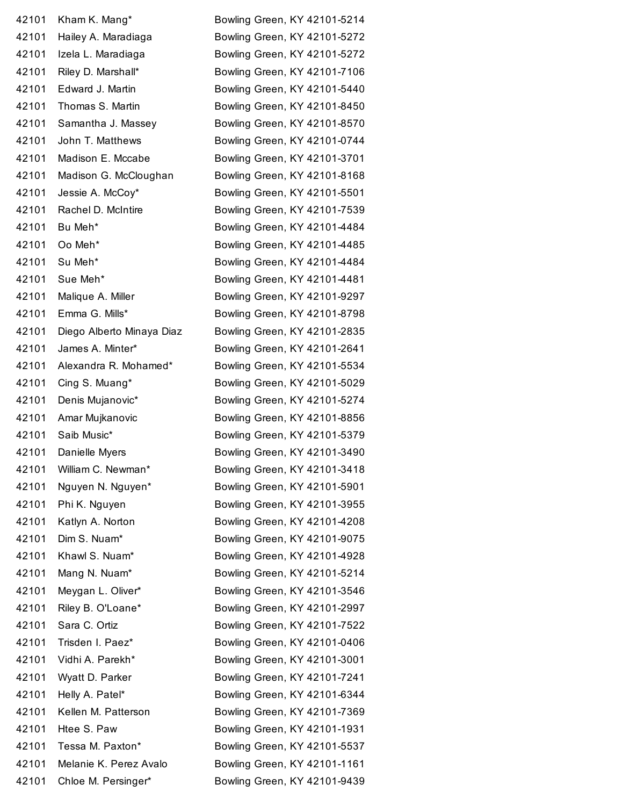| 42101 | Kham K. Mang*             | Bowling Green, KY 42101-5214 |
|-------|---------------------------|------------------------------|
| 42101 | Hailey A. Maradiaga       | Bowling Green, KY 42101-5272 |
| 42101 | Izela L. Maradiaga        | Bowling Green, KY 42101-5272 |
| 42101 | Riley D. Marshall*        | Bowling Green, KY 42101-7106 |
| 42101 | Edward J. Martin          | Bowling Green, KY 42101-5440 |
| 42101 | Thomas S. Martin          | Bowling Green, KY 42101-8450 |
| 42101 | Samantha J. Massey        | Bowling Green, KY 42101-8570 |
| 42101 | John T. Matthews          | Bowling Green, KY 42101-0744 |
| 42101 | Madison E. Mccabe         | Bowling Green, KY 42101-3701 |
| 42101 | Madison G. McCloughan     | Bowling Green, KY 42101-8168 |
| 42101 | Jessie A. McCoy*          | Bowling Green, KY 42101-5501 |
| 42101 | Rachel D. McIntire        | Bowling Green, KY 42101-7539 |
| 42101 | Bu Meh*                   | Bowling Green, KY 42101-4484 |
| 42101 | Oo Meh*                   | Bowling Green, KY 42101-4485 |
| 42101 | Su Meh*                   | Bowling Green, KY 42101-4484 |
| 42101 | Sue Meh*                  | Bowling Green, KY 42101-4481 |
| 42101 | Malique A. Miller         | Bowling Green, KY 42101-9297 |
| 42101 | Emma G. Mills*            | Bowling Green, KY 42101-8798 |
| 42101 | Diego Alberto Minaya Diaz | Bowling Green, KY 42101-2835 |
| 42101 | James A. Minter*          | Bowling Green, KY 42101-2641 |
| 42101 | Alexandra R. Mohamed*     | Bowling Green, KY 42101-5534 |
| 42101 | Cing S. Muang*            | Bowling Green, KY 42101-5029 |
| 42101 | Denis Mujanovic*          | Bowling Green, KY 42101-5274 |
| 42101 | Amar Mujkanovic           | Bowling Green, KY 42101-8856 |
| 42101 | Saib Music*               | Bowling Green, KY 42101-5379 |
| 42101 | Danielle Myers            | Bowling Green, KY 42101-3490 |
| 42101 | William C. Newman*        | Bowling Green, KY 42101-3418 |
| 42101 | Nguyen N. Nguyen*         | Bowling Green, KY 42101-5901 |
| 42101 | Phi K. Nguyen             | Bowling Green, KY 42101-3955 |
| 42101 | Katlyn A. Norton          | Bowling Green, KY 42101-4208 |
| 42101 | Dim S. Nuam*              | Bowling Green, KY 42101-9075 |
| 42101 | Khawl S. Nuam*            | Bowling Green, KY 42101-4928 |
| 42101 | Mang N. Nuam*             | Bowling Green, KY 42101-5214 |
| 42101 | Meygan L. Oliver*         | Bowling Green, KY 42101-3546 |
| 42101 | Riley B. O'Loane*         | Bowling Green, KY 42101-2997 |
| 42101 | Sara C. Ortiz             | Bowling Green, KY 42101-7522 |
| 42101 | Trisden I. Paez*          | Bowling Green, KY 42101-0406 |
| 42101 | Vidhi A. Parekh*          | Bowling Green, KY 42101-3001 |
| 42101 | Wyatt D. Parker           | Bowling Green, KY 42101-7241 |
| 42101 | Helly A. Patel*           | Bowling Green, KY 42101-6344 |
| 42101 | Kellen M. Patterson       | Bowling Green, KY 42101-7369 |
| 42101 | Htee S. Paw               | Bowling Green, KY 42101-1931 |
| 42101 | Tessa M. Paxton*          | Bowling Green, KY 42101-5537 |
| 42101 | Melanie K. Perez Avalo    | Bowling Green, KY 42101-1161 |
| 42101 | Chloe M. Persinger*       | Bowling Green, KY 42101-9439 |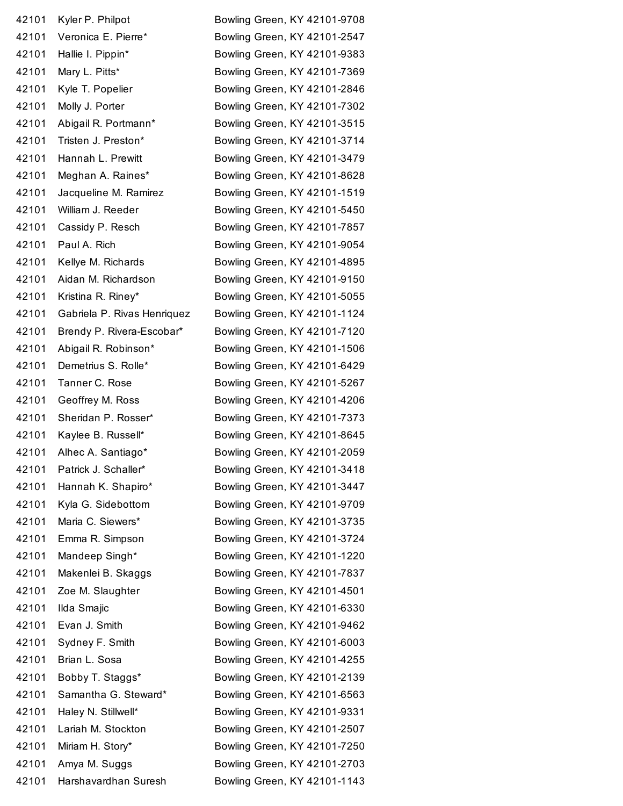| 42101 | Kyler P. Philpot            | Bowling Green, KY 42101-9708 |
|-------|-----------------------------|------------------------------|
| 42101 | Veronica E. Pierre*         | Bowling Green, KY 42101-2547 |
| 42101 | Hallie I. Pippin*           | Bowling Green, KY 42101-9383 |
| 42101 | Mary L. Pitts*              | Bowling Green, KY 42101-7369 |
| 42101 | Kyle T. Popelier            | Bowling Green, KY 42101-2846 |
| 42101 | Molly J. Porter             | Bowling Green, KY 42101-7302 |
| 42101 | Abigail R. Portmann*        | Bowling Green, KY 42101-3515 |
| 42101 | Tristen J. Preston*         | Bowling Green, KY 42101-3714 |
| 42101 | Hannah L. Prewitt           | Bowling Green, KY 42101-3479 |
| 42101 | Meghan A. Raines*           | Bowling Green, KY 42101-8628 |
| 42101 | Jacqueline M. Ramirez       | Bowling Green, KY 42101-1519 |
| 42101 | William J. Reeder           | Bowling Green, KY 42101-5450 |
| 42101 | Cassidy P. Resch            | Bowling Green, KY 42101-7857 |
| 42101 | Paul A. Rich                | Bowling Green, KY 42101-9054 |
| 42101 | Kellye M. Richards          | Bowling Green, KY 42101-4895 |
| 42101 | Aidan M. Richardson         | Bowling Green, KY 42101-9150 |
| 42101 | Kristina R. Riney*          | Bowling Green, KY 42101-5055 |
| 42101 | Gabriela P. Rivas Henriquez | Bowling Green, KY 42101-1124 |
| 42101 | Brendy P. Rivera-Escobar*   | Bowling Green, KY 42101-7120 |
| 42101 | Abigail R. Robinson*        | Bowling Green, KY 42101-1506 |
| 42101 | Demetrius S. Rolle*         | Bowling Green, KY 42101-6429 |
| 42101 | Tanner C. Rose              | Bowling Green, KY 42101-5267 |
| 42101 | Geoffrey M. Ross            | Bowling Green, KY 42101-4206 |
| 42101 | Sheridan P. Rosser*         | Bowling Green, KY 42101-7373 |
| 42101 | Kaylee B. Russell*          | Bowling Green, KY 42101-8645 |
| 42101 | Alhec A. Santiago*          | Bowling Green, KY 42101-2059 |
| 42101 | Patrick J. Schaller*        | Bowling Green, KY 42101-3418 |
| 42101 | Hannah K. Shapiro*          | Bowling Green, KY 42101-3447 |
| 42101 | Kyla G. Sidebottom          | Bowling Green, KY 42101-9709 |
| 42101 | Maria C. Siewers*           | Bowling Green, KY 42101-3735 |
| 42101 | Emma R. Simpson             | Bowling Green, KY 42101-3724 |
| 42101 | Mandeep Singh*              | Bowling Green, KY 42101-1220 |
| 42101 | Makenlei B. Skaggs          | Bowling Green, KY 42101-7837 |
| 42101 | Zoe M. Slaughter            | Bowling Green, KY 42101-4501 |
| 42101 | Ilda Smajic                 | Bowling Green, KY 42101-6330 |
| 42101 | Evan J. Smith               | Bowling Green, KY 42101-9462 |
| 42101 | Sydney F. Smith             | Bowling Green, KY 42101-6003 |
| 42101 | Brian L. Sosa               | Bowling Green, KY 42101-4255 |
| 42101 | Bobby T. Staggs*            | Bowling Green, KY 42101-2139 |
| 42101 | Samantha G. Steward*        | Bowling Green, KY 42101-6563 |
| 42101 | Haley N. Stillwell*         | Bowling Green, KY 42101-9331 |
| 42101 | Lariah M. Stockton          | Bowling Green, KY 42101-2507 |
| 42101 | Miriam H. Story*            | Bowling Green, KY 42101-7250 |
| 42101 | Amya M. Suggs               | Bowling Green, KY 42101-2703 |
| 42101 | Harshavardhan Suresh        | Bowling Green, KY 42101-1143 |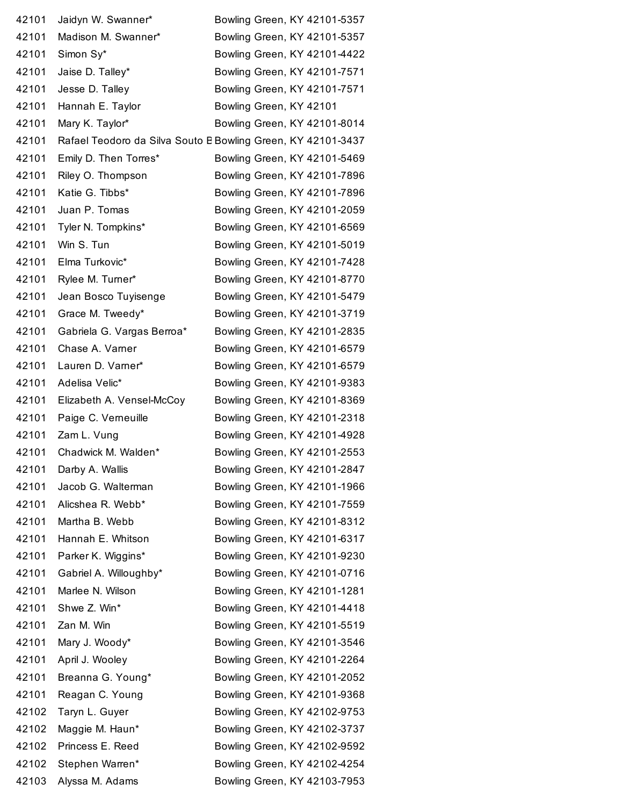| 42101 | Jaidyn W. Swanner*                                           | Bowling Green, KY 42101-5357 |
|-------|--------------------------------------------------------------|------------------------------|
| 42101 | Madison M. Swanner*                                          | Bowling Green, KY 42101-5357 |
| 42101 | Simon Sy*                                                    | Bowling Green, KY 42101-4422 |
| 42101 | Jaise D. Talley*                                             | Bowling Green, KY 42101-7571 |
| 42101 | Jesse D. Talley                                              | Bowling Green, KY 42101-7571 |
| 42101 | Hannah E. Taylor                                             | Bowling Green, KY 42101      |
| 42101 | Mary K. Taylor*                                              | Bowling Green, KY 42101-8014 |
| 42101 | Rafael Teodoro da Silva Souto E Bowling Green, KY 42101-3437 |                              |
| 42101 | Emily D. Then Torres*                                        | Bowling Green, KY 42101-5469 |
| 42101 | Riley O. Thompson                                            | Bowling Green, KY 42101-7896 |
| 42101 | Katie G. Tibbs*                                              | Bowling Green, KY 42101-7896 |
| 42101 | Juan P. Tomas                                                | Bowling Green, KY 42101-2059 |
| 42101 | Tyler N. Tompkins*                                           | Bowling Green, KY 42101-6569 |
| 42101 | Win S. Tun                                                   | Bowling Green, KY 42101-5019 |
| 42101 | Elma Turkovic*                                               | Bowling Green, KY 42101-7428 |
| 42101 | Rylee M. Turner*                                             | Bowling Green, KY 42101-8770 |
| 42101 | Jean Bosco Tuyisenge                                         | Bowling Green, KY 42101-5479 |
| 42101 | Grace M. Tweedy*                                             | Bowling Green, KY 42101-3719 |
| 42101 | Gabriela G. Vargas Berroa*                                   | Bowling Green, KY 42101-2835 |
| 42101 | Chase A. Varner                                              | Bowling Green, KY 42101-6579 |
| 42101 | Lauren D. Varner*                                            | Bowling Green, KY 42101-6579 |
| 42101 | Adelisa Velic*                                               | Bowling Green, KY 42101-9383 |
| 42101 | Elizabeth A. Vensel-McCoy                                    | Bowling Green, KY 42101-8369 |
| 42101 | Paige C. Verneuille                                          | Bowling Green, KY 42101-2318 |
| 42101 | Zam L. Vung                                                  | Bowling Green, KY 42101-4928 |
| 42101 | Chadwick M. Walden*                                          | Bowling Green, KY 42101-2553 |
| 42101 | Darby A. Wallis                                              | Bowling Green, KY 42101-2847 |
| 42101 | Jacob G. Walterman                                           | Bowling Green, KY 42101-1966 |
| 42101 | Alicshea R. Webb*                                            | Bowling Green, KY 42101-7559 |
| 42101 | Martha B. Webb                                               | Bowling Green, KY 42101-8312 |
| 42101 | Hannah E. Whitson                                            | Bowling Green, KY 42101-6317 |
| 42101 | Parker K. Wiggins*                                           | Bowling Green, KY 42101-9230 |
| 42101 | Gabriel A. Willoughby*                                       | Bowling Green, KY 42101-0716 |
| 42101 | Marlee N. Wilson                                             | Bowling Green, KY 42101-1281 |
| 42101 | Shwe Z. Win*                                                 | Bowling Green, KY 42101-4418 |
| 42101 | Zan M. Win                                                   | Bowling Green, KY 42101-5519 |
| 42101 | Mary J. Woody*                                               | Bowling Green, KY 42101-3546 |
| 42101 | April J. Wooley                                              | Bowling Green, KY 42101-2264 |
| 42101 | Breanna G. Young*                                            | Bowling Green, KY 42101-2052 |
| 42101 | Reagan C. Young                                              | Bowling Green, KY 42101-9368 |
| 42102 | Taryn L. Guyer                                               | Bowling Green, KY 42102-9753 |
| 42102 | Maggie M. Haun*                                              | Bowling Green, KY 42102-3737 |
| 42102 | Princess E. Reed                                             | Bowling Green, KY 42102-9592 |
| 42102 | Stephen Warren*                                              | Bowling Green, KY 42102-4254 |
| 42103 | Alyssa M. Adams                                              | Bowling Green, KY 42103-7953 |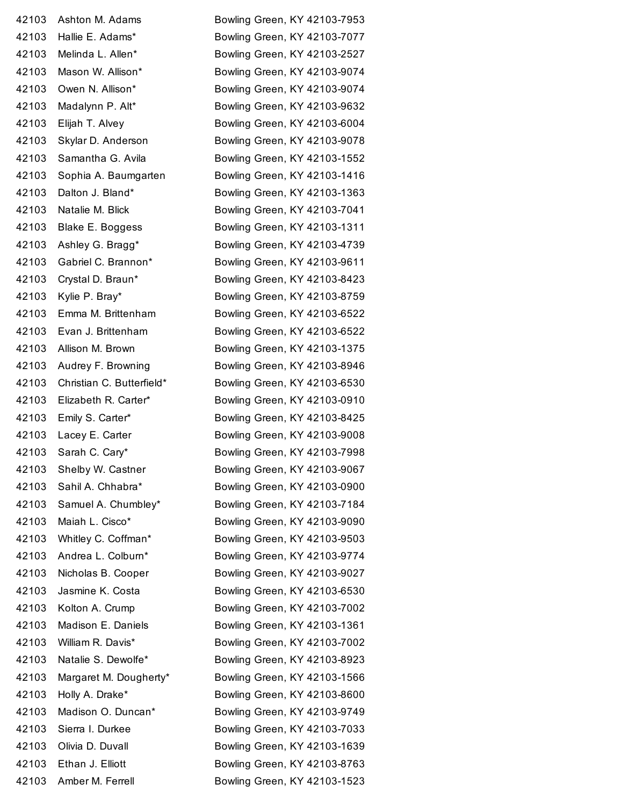| 42103 | Ashton M. Adams           |
|-------|---------------------------|
| 42103 | Hallie E. Adams*          |
| 42103 | Melinda L. Allen*         |
| 42103 | Mason W. Allison*         |
| 42103 | Owen N. Allison*          |
| 42103 | Madalynn P. Alt*          |
| 42103 | Elijah T. Alvey           |
| 42103 | Skylar D. Anderson        |
| 42103 | Samantha G. Avila         |
| 42103 | Sophia A. Baumgarten      |
| 42103 | Dalton J. Bland*          |
| 42103 | Natalie M. Blick          |
| 42103 | Blake E. Boggess          |
| 42103 | Ashley G. Bragg*          |
| 42103 | Gabriel C. Brannon*       |
| 42103 | Crystal D. Braun*         |
| 42103 | Kylie P. Bray*            |
| 42103 | Emma M. Brittenham        |
| 42103 | Evan J. Brittenham        |
| 42103 | Allison M. Brown          |
| 42103 | Audrey F. Browning        |
| 42103 | Christian C. Butterfield' |
| 42103 | Elizabeth R. Carter*      |
| 42103 | Emily S. Carter*          |
| 42103 | Lacey E. Carter           |
| 42103 | Sarah C. Cary*            |
| 42103 | Shelby W. Castner         |
| 42103 | Sahil A. Chhabra*         |
| 42103 | Samuel A. Chumbley*       |
| 42103 | Maiah L. Cisco*           |
| 42103 | Whitley C. Coffman*       |
| 42103 | Andrea L. Colburn*        |
| 42103 | Nicholas B. Cooper        |
| 42103 | Jasmine K. Costa          |
| 42103 | Kolton A. Crump           |
| 42103 | Madison E. Daniels        |
| 42103 | William R. Davis*         |
| 42103 | Natalie S. Dewolfe*       |
| 42103 | Margaret M. Dougherty     |
| 42103 | Holly A. Drake*           |
| 42103 | Madison O. Duncan*        |
| 42103 | Sierra I. Durkee          |
| 42103 | Olivia D. Duvall          |
| 42103 | Ethan J. Elliott          |
|       | 42103 Amber M. Ferrell    |

Bowling Green, KY 42103-7953 Bowling Green, KY 42103-7077 Bowling Green, KY 42103-2527 Bowling Green, KY 42103-9074 Bowling Green, KY 42103-9074 Bowling Green, KY 42103-9632 Bowling Green, KY 42103-6004 Bowling Green, KY 42103-9078 Bowling Green, KY 42103-1552 Bowling Green, KY 42103-1416 Bowling Green, KY 42103-1363 Bowling Green, KY 42103-7041 Bowling Green, KY 42103-1311 Bowling Green, KY 42103-4739 Bowling Green, KY 42103-9611 Bowling Green, KY 42103-8423 Bowling Green, KY 42103-8759 Bowling Green, KY 42103-6522 Bowling Green, KY 42103-6522 Bowling Green, KY 42103-1375 Bowling Green, KY 42103-8946 Bowling Green, KY 42103-6530 Bowling Green, KY 42103-0910 Bowling Green, KY 42103-8425 Bowling Green, KY 42103-9008 Bowling Green, KY 42103-7998 Bowling Green, KY 42103-9067 Bowling Green, KY 42103-0900 Bowling Green, KY 42103-7184 Bowling Green, KY 42103-9090 Bowling Green, KY 42103-9503 Bowling Green, KY 42103-9774 Bowling Green, KY 42103-9027 Bowling Green, KY 42103-6530 Bowling Green, KY 42103-7002 Bowling Green, KY 42103-1361 Bowling Green, KY 42103-7002 Bowling Green, KY 42103-8923 Bowling Green, KY 42103-1566 Bowling Green, KY 42103-8600 Bowling Green, KY 42103-9749 Bowling Green, KY 42103-7033 Bowling Green, KY 42103-1639 Bowling Green, KY 42103-8763 Bowling Green, KY 42103-1523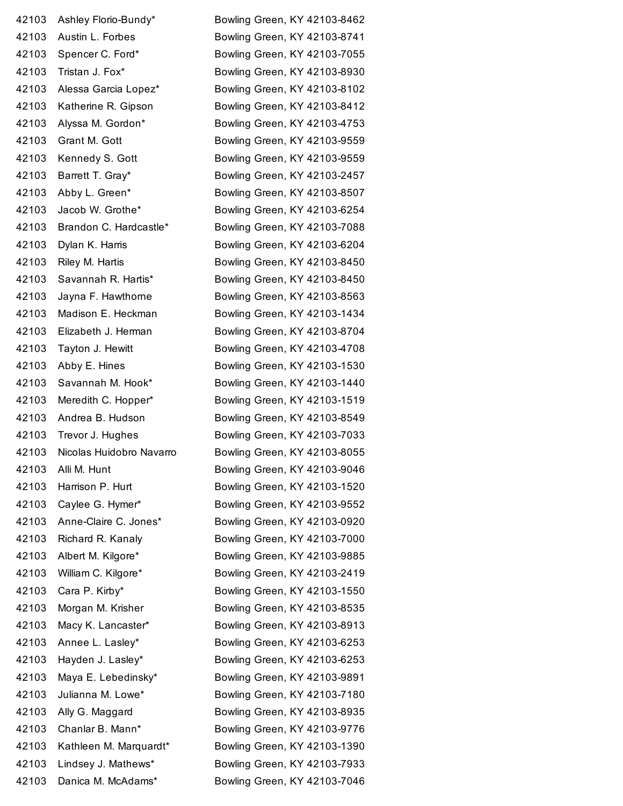| 42103 | Ashley Florio-Bundy*     | Bowling Green, KY 42103-8462 |
|-------|--------------------------|------------------------------|
| 42103 | Austin L. Forbes         | Bowling Green, KY 42103-8741 |
| 42103 | Spencer C. Ford*         | Bowling Green, KY 42103-7055 |
| 42103 | Tristan J. Fox*          | Bowling Green, KY 42103-8930 |
| 42103 | Alessa Garcia Lopez*     | Bowling Green, KY 42103-8102 |
| 42103 | Katherine R. Gipson      | Bowling Green, KY 42103-8412 |
| 42103 | Alyssa M. Gordon*        | Bowling Green, KY 42103-4753 |
| 42103 | Grant M. Gott            | Bowling Green, KY 42103-9559 |
| 42103 | Kennedy S. Gott          | Bowling Green, KY 42103-9559 |
| 42103 | Barrett T. Gray*         | Bowling Green, KY 42103-2457 |
| 42103 | Abby L. Green*           | Bowling Green, KY 42103-8507 |
| 42103 | Jacob W. Grothe*         | Bowling Green, KY 42103-6254 |
| 42103 | Brandon C. Hardcastle*   | Bowling Green, KY 42103-7088 |
| 42103 | Dylan K. Harris          | Bowling Green, KY 42103-6204 |
| 42103 | Riley M. Hartis          | Bowling Green, KY 42103-8450 |
| 42103 | Savannah R. Hartis*      | Bowling Green, KY 42103-8450 |
| 42103 | Jayna F. Hawthorne       | Bowling Green, KY 42103-8563 |
| 42103 | Madison E. Heckman       | Bowling Green, KY 42103-1434 |
| 42103 | Elizabeth J. Herman      | Bowling Green, KY 42103-8704 |
| 42103 | Tayton J. Hewitt         | Bowling Green, KY 42103-4708 |
| 42103 | Abby E. Hines            | Bowling Green, KY 42103-1530 |
| 42103 | Savannah M. Hook*        | Bowling Green, KY 42103-1440 |
| 42103 | Meredith C. Hopper*      | Bowling Green, KY 42103-1519 |
| 42103 | Andrea B. Hudson         | Bowling Green, KY 42103-8549 |
| 42103 | Trevor J. Hughes         | Bowling Green, KY 42103-7033 |
| 42103 | Nicolas Huidobro Navarro | Bowling Green, KY 42103-8055 |
| 42103 | Alli M. Hunt             | Bowling Green, KY 42103-9046 |
| 42103 | Harrison P. Hurt         | Bowling Green, KY 42103-1520 |
| 42103 | Caylee G. Hymer*         | Bowling Green, KY 42103-9552 |
| 42103 | Anne-Claire C. Jones*    | Bowling Green, KY 42103-0920 |
| 42103 | Richard R. Kanaly        | Bowling Green, KY 42103-7000 |
| 42103 | Albert M. Kilgore*       | Bowling Green, KY 42103-9885 |
| 42103 | William C. Kilgore*      | Bowling Green, KY 42103-2419 |
| 42103 | Cara P. Kirby*           | Bowling Green, KY 42103-1550 |
| 42103 | Morgan M. Krisher        | Bowling Green, KY 42103-8535 |
| 42103 | Macy K. Lancaster*       | Bowling Green, KY 42103-8913 |
| 42103 | Annee L. Lasley*         | Bowling Green, KY 42103-6253 |
| 42103 | Hayden J. Lasley*        | Bowling Green, KY 42103-6253 |
| 42103 | Maya E. Lebedinsky*      | Bowling Green, KY 42103-9891 |
| 42103 | Julianna M. Lowe*        | Bowling Green, KY 42103-7180 |
| 42103 | Ally G. Maggard          | Bowling Green, KY 42103-8935 |
| 42103 | Chanlar B. Mann*         | Bowling Green, KY 42103-9776 |
| 42103 | Kathleen M. Marquardt*   | Bowling Green, KY 42103-1390 |
| 42103 | Lindsey J. Mathews*      | Bowling Green, KY 42103-7933 |
| 42103 | Danica M. McAdams*       | Bowling Green, KY 42103-7046 |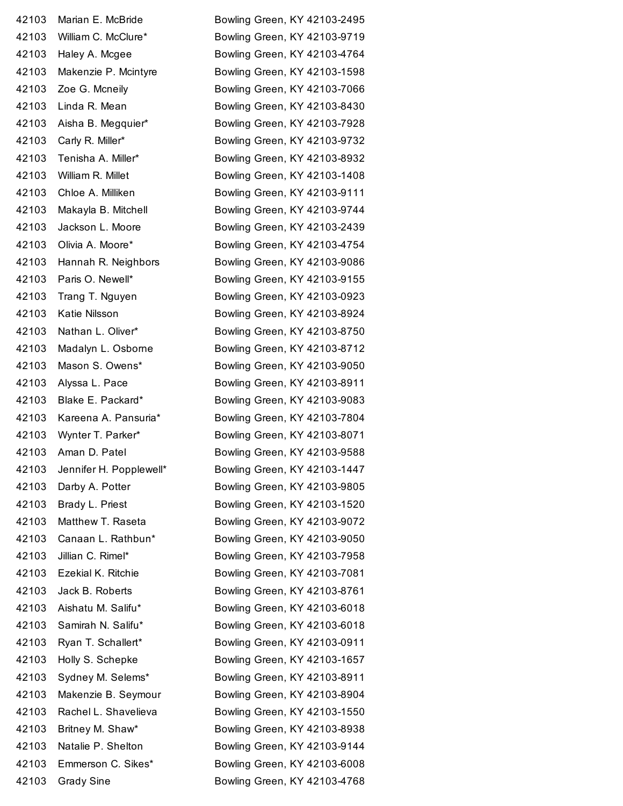| 42103 | Marian E. McBride       | Bowling Green, KY 42103-2495 |
|-------|-------------------------|------------------------------|
| 42103 | William C. McClure*     | Bowling Green, KY 42103-9719 |
| 42103 | Haley A. Mcgee          | Bowling Green, KY 42103-4764 |
| 42103 | Makenzie P. Mcintyre    | Bowling Green, KY 42103-1598 |
| 42103 | Zoe G. Mcneily          | Bowling Green, KY 42103-7066 |
| 42103 | Linda R. Mean           | Bowling Green, KY 42103-8430 |
| 42103 | Aisha B. Megquier*      | Bowling Green, KY 42103-7928 |
| 42103 | Carly R. Miller*        | Bowling Green, KY 42103-9732 |
| 42103 | Tenisha A. Miller*      | Bowling Green, KY 42103-8932 |
| 42103 | William R. Millet       | Bowling Green, KY 42103-1408 |
| 42103 | Chloe A. Milliken       | Bowling Green, KY 42103-9111 |
| 42103 | Makayla B. Mitchell     | Bowling Green, KY 42103-9744 |
| 42103 | Jackson L. Moore        | Bowling Green, KY 42103-2439 |
| 42103 | Olivia A. Moore*        | Bowling Green, KY 42103-4754 |
| 42103 | Hannah R. Neighbors     | Bowling Green, KY 42103-9086 |
| 42103 | Paris O. Newell*        | Bowling Green, KY 42103-9155 |
| 42103 | Trang T. Nguyen         | Bowling Green, KY 42103-0923 |
| 42103 | Katie Nilsson           | Bowling Green, KY 42103-8924 |
| 42103 | Nathan L. Oliver*       | Bowling Green, KY 42103-8750 |
| 42103 | Madalyn L. Osborne      | Bowling Green, KY 42103-8712 |
| 42103 | Mason S. Owens*         | Bowling Green, KY 42103-9050 |
| 42103 | Alyssa L. Pace          | Bowling Green, KY 42103-8911 |
| 42103 | Blake E. Packard*       | Bowling Green, KY 42103-9083 |
| 42103 | Kareena A. Pansuria*    | Bowling Green, KY 42103-7804 |
| 42103 | Wynter T. Parker*       | Bowling Green, KY 42103-8071 |
| 42103 | Aman D. Patel           | Bowling Green, KY 42103-9588 |
| 42103 | Jennifer H. Popplewell* | Bowling Green, KY 42103-1447 |
| 42103 | Darby A. Potter         | Bowling Green, KY 42103-9805 |
| 42103 | Brady L. Priest         | Bowling Green, KY 42103-1520 |
| 42103 | Matthew T. Raseta       | Bowling Green, KY 42103-9072 |
| 42103 | Canaan L. Rathbun*      | Bowling Green, KY 42103-9050 |
| 42103 | Jillian C. Rimel*       | Bowling Green, KY 42103-7958 |
| 42103 | Ezekial K. Ritchie      | Bowling Green, KY 42103-7081 |
| 42103 | Jack B. Roberts         | Bowling Green, KY 42103-8761 |
| 42103 | Aishatu M. Salifu*      | Bowling Green, KY 42103-6018 |
| 42103 | Samirah N. Salifu*      | Bowling Green, KY 42103-6018 |
| 42103 | Ryan T. Schallert*      | Bowling Green, KY 42103-0911 |
| 42103 | Holly S. Schepke        | Bowling Green, KY 42103-1657 |
| 42103 | Sydney M. Selems*       | Bowling Green, KY 42103-8911 |
| 42103 | Makenzie B. Seymour     | Bowling Green, KY 42103-8904 |
| 42103 | Rachel L. Shavelieva    | Bowling Green, KY 42103-1550 |
| 42103 | Britney M. Shaw*        | Bowling Green, KY 42103-8938 |
| 42103 | Natalie P. Shelton      | Bowling Green, KY 42103-9144 |
| 42103 | Emmerson C. Sikes*      | Bowling Green, KY 42103-6008 |
| 42103 | <b>Grady Sine</b>       | Bowling Green, KY 42103-4768 |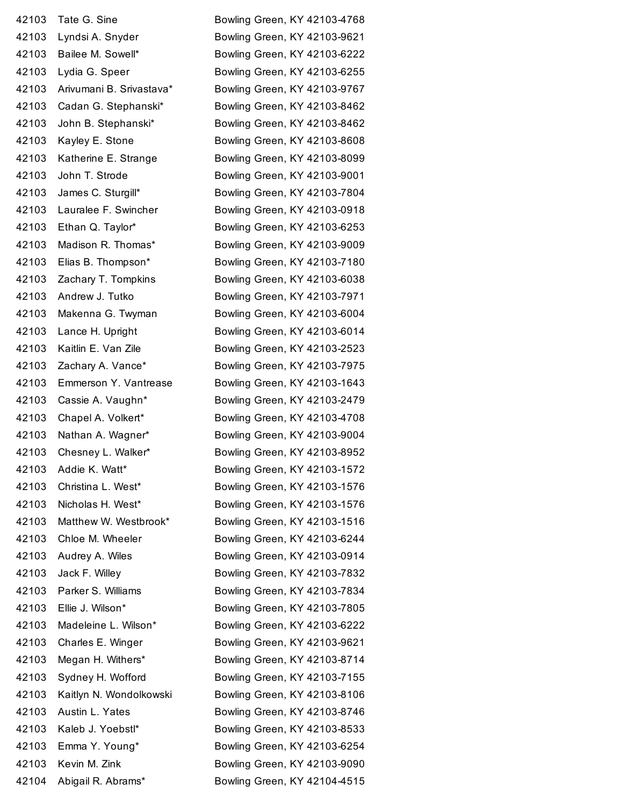| 42103 | Tate G. Sine             |
|-------|--------------------------|
| 42103 | Lyndsi A. Snyder         |
| 42103 | Bailee M. Sowell*        |
| 42103 | Lydia G. Speer           |
| 42103 | Arivumani B. Srivastava* |
| 42103 | Cadan G. Stephanski*     |
| 42103 | John B. Stephanski*      |
| 42103 | Kayley E. Stone          |
| 42103 | Katherine E. Strange     |
| 42103 | John T. Strode           |
| 42103 | James C. Sturgill*       |
| 42103 | Lauralee F. Swincher     |
| 42103 | Ethan Q. Taylor*         |
| 42103 | Madison R. Thomas*       |
| 42103 | Elias B. Thompson*       |
| 42103 | Zachary T. Tompkins      |
| 42103 | Andrew J. Tutko          |
| 42103 | Makenna G. Twyman        |
| 42103 | Lance H. Upright         |
| 42103 | Kaitlin E. Van Zile      |
| 42103 | Zachary A. Vance*        |
| 42103 | Emmerson Y. Vantrease    |
| 42103 | Cassie A. Vaughn*        |
| 42103 | Chapel A. Volkert*       |
| 42103 | Nathan A. Wagner*        |
| 42103 | Chesney L. Walker*       |
| 42103 | Addie K. Watt*           |
| 42103 | Christina L. West*       |
| 42103 | Nicholas H. West*        |
| 42103 | Matthew W. Westbrook*    |
| 42103 | Chloe M. Wheeler         |
| 42103 | Audrey A. Wiles          |
| 42103 | Jack F. Willey           |
| 42103 | Parker S. Williams       |
| 42103 | Ellie J. Wilson*         |
| 42103 | Madeleine L. Wilson*     |
| 42103 | Charles E. Winger        |
| 42103 | Megan H. Withers*        |
| 42103 | Sydney H. Wofford        |
| 42103 | Kaitlyn N. Wondolkowski  |
| 42103 | Austin L. Yates          |
| 42103 | Kaleb J. Yoebstl*        |
| 42103 | Emma Y. Young*           |
| 42103 | Kevin M. Zink            |
|       | 42104 Abigail R. Abrams* |

Bowling Green, KY 42103-4768 Bowling Green, KY 42103-9621 Bowling Green, KY 42103-6222 Bowling Green, KY 42103-6255 Bowling Green, KY 42103-9767 Bowling Green, KY 42103-8462 Bowling Green, KY 42103-8462 Bowling Green, KY 42103-8608 Bowling Green, KY 42103-8099 Bowling Green, KY 42103-9001 Bowling Green, KY 42103-7804 Bowling Green, KY 42103-0918 Bowling Green, KY 42103-6253 Bowling Green, KY 42103-9009 Bowling Green, KY 42103-7180 Bowling Green, KY 42103-6038 Bowling Green, KY 42103-7971 Bowling Green, KY 42103-6004 Bowling Green, KY 42103-6014 Bowling Green, KY 42103-2523 Bowling Green, KY 42103-7975 Bowling Green, KY 42103-1643 Bowling Green, KY 42103-2479 Bowling Green, KY 42103-4708 Bowling Green, KY 42103-9004 Bowling Green, KY 42103-8952 Bowling Green, KY 42103-1572 Bowling Green, KY 42103-1576 Bowling Green, KY 42103-1576 Bowling Green, KY 42103-1516 Bowling Green, KY 42103-6244 Bowling Green, KY 42103-0914 Bowling Green, KY 42103-7832 Bowling Green, KY 42103-7834 Bowling Green, KY 42103-7805 Bowling Green, KY 42103-6222 Bowling Green, KY 42103-9621 Bowling Green, KY 42103-8714 Bowling Green, KY 42103-7155 Bowling Green, KY 42103-8106 Bowling Green, KY 42103-8746 Bowling Green, KY 42103-8533 Bowling Green, KY 42103-6254 Bowling Green, KY 42103-9090 Bowling Green, KY 42104-4515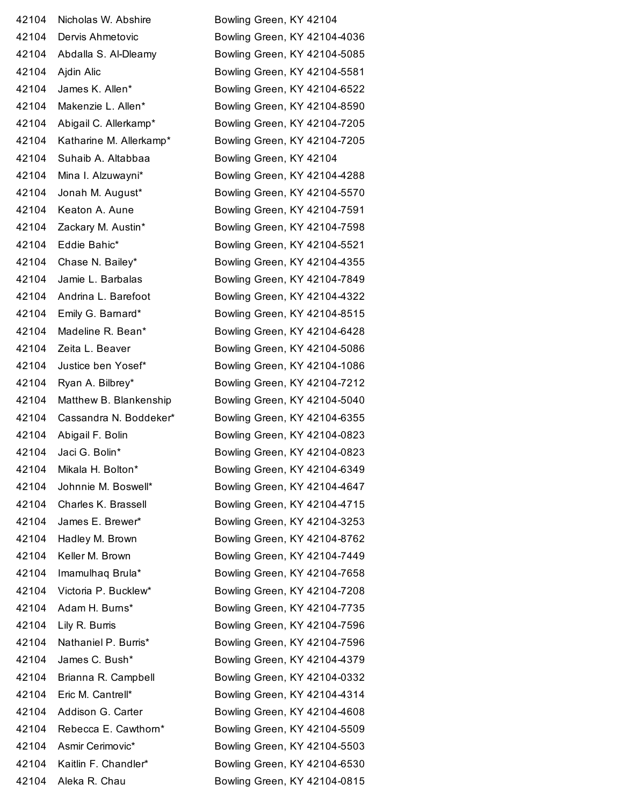42104 Nicholas W. Abshire Bowling Green, KY 42104 Suhaib A. Altabbaa Bowling Green, KY 42104 42104 Aleka R. Chau Bowling Green, KY 42104-0815

 Dervis Ahmetovic Bowling Green, KY 42104-4036 Abdalla S. Al-Dleamy Bowling Green, KY 42104-5085 Ajdin Alic Bowling Green, KY 42104-5581 James K. Allen\* Bowling Green, KY 42104-6522 Makenzie L. Allen\* Bowling Green, KY 42104-8590 Abigail C. Allerkamp\* Bowling Green, KY 42104-7205 Katharine M. Allerkamp\* Bowling Green, KY 42104-7205 Mina I. Alzuwayni\* Bowling Green, KY 42104-4288 Jonah M. August\* Bowling Green, KY 42104-5570 42104 Keaton A. Aune Bowling Green, KY 42104-7591 Zackary M. Austin\* Bowling Green, KY 42104-7598 Eddie Bahic\* Bowling Green, KY 42104-5521 Chase N. Bailey\* Bowling Green, KY 42104-4355 Jamie L. Barbalas Bowling Green, KY 42104-7849 Andrina L. Barefoot Bowling Green, KY 42104-4322 Emily G. Barnard\* Bowling Green, KY 42104-8515 Madeline R. Bean\* Bowling Green, KY 42104-6428 42104 Zeita L. Beaver **Bowling Green, KY 42104-5086**  Justice ben Yosef\* Bowling Green, KY 42104-1086 Ryan A. Bilbrey\* Bowling Green, KY 42104-7212 Matthew B. Blankenship Bowling Green, KY 42104-5040 Cassandra N. Boddeker\* Bowling Green, KY 42104-6355 42104 Abigail F. Bolin Bowling Green, KY 42104-0823 Jaci G. Bolin\* Bowling Green, KY 42104-0823 Mikala H. Bolton\* Bowling Green, KY 42104-6349 42104 Johnnie M. Boswell\* Bowling Green, KY 42104-4647 Charles K. Brassell Bowling Green, KY 42104-4715 James E. Brewer\* Bowling Green, KY 42104-3253 Hadley M. Brown Bowling Green, KY 42104-8762 Keller M. Brown Bowling Green, KY 42104-7449 Imamulhaq Brula\* Bowling Green, KY 42104-7658 Victoria P. Bucklew\* Bowling Green, KY 42104-7208 Adam H. Burns\* Bowling Green, KY 42104-7735 Lily R. Burris Bowling Green, KY 42104-7596 Nathaniel P. Burris\* Bowling Green, KY 42104-7596 James C. Bush\* Bowling Green, KY 42104-4379 42104 Brianna R. Campbell Bowling Green, KY 42104-0332 Eric M. Cantrell\* Bowling Green, KY 42104-4314 42104 Addison G. Carter **Bowling Green, KY 42104-4608**  Rebecca E. Cawthorn\* Bowling Green, KY 42104-5509 Asmir Cerimovic\* Bowling Green, KY 42104-5503 Kaitlin F. Chandler\* Bowling Green, KY 42104-6530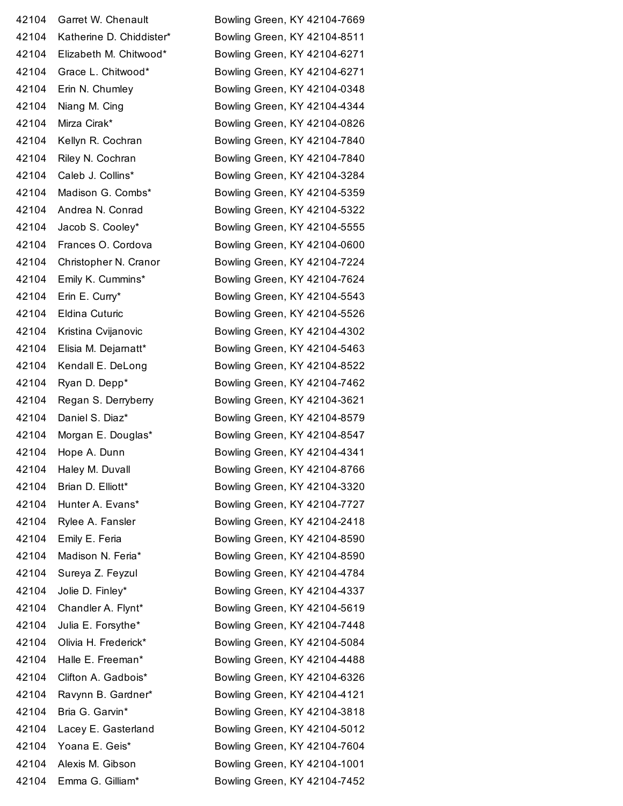| 42104 | Garret W. Chenault     |
|-------|------------------------|
| 42104 | Katherine D. Chiddiste |
| 42104 | Elizabeth M. Chitwood  |
| 42104 | Grace L. Chitwood*     |
| 42104 | Erin N. Chumley        |
| 42104 | Niang M. Cing          |
| 42104 | Mirza Cirak*           |
| 42104 | Kellyn R. Cochran      |
| 42104 | Riley N. Cochran       |
| 42104 | Caleb J. Collins*      |
| 42104 | Madison G. Combs*      |
| 42104 | Andrea N. Conrad       |
| 42104 | Jacob S. Cooley*       |
| 42104 | Frances O. Cordova     |
| 42104 | Christopher N. Cranor  |
| 42104 | Emily K. Cummins*      |
| 42104 | Erin E. Curry*         |
| 42104 | <b>Eldina Cuturic</b>  |
| 42104 | Kristina Cvijanovic    |
| 42104 | Elisia M. Dejarnatt*   |
| 42104 | Kendall E. DeLong      |
| 42104 | Ryan D. Depp*          |
| 42104 | Regan S. Derryberry    |
| 42104 | Daniel S. Diaz*        |
| 42104 | Morgan E. Douglas*     |
| 42104 | Hope A. Dunn           |
| 42104 | Haley M. Duvall        |
| 42104 | Brian D. Elliott*      |
| 42104 | Hunter A. Evans*       |
| 42104 | Rylee A. Fansler       |
| 42104 | Emily E. Feria         |
| 42104 | Madison N. Feria*      |
| 42104 | Sureya Z. Feyzul       |
| 42104 | Jolie D. Finley*       |
| 42104 | Chandler A. Flynt*     |
| 42104 | Julia E. Forsythe*     |
| 42104 | Olivia H. Frederick*   |
| 42104 | Halle E. Freeman*      |
| 42104 | Clifton A. Gadbois*    |
| 42104 | Ravynn B. Gardner*     |
| 42104 | Bria G. Garvin*        |
| 42104 | Lacey E. Gasterland    |
| 42104 | Yoana E. Geis*         |
| 42104 | Alexis M. Gibson       |
|       | 42104 Emma G. Gilliam* |

Bowling Green, KY 42104-7669 Bowling Green, KY 42104-8511 Bowling Green, KY 42104-6271 Bowling Green, KY 42104-6271 Bowling Green, KY 42104-0348 Bowling Green, KY 42104-4344 Bowling Green, KY 42104-0826 Bowling Green, KY 42104-7840 Bowling Green, KY 42104-7840 Bowling Green, KY 42104-3284 Bowling Green, KY 42104-5359 Bowling Green, KY 42104-5322 Bowling Green, KY 42104-5555 Bowling Green, KY 42104-0600 Bowling Green, KY 42104-7224 Bowling Green, KY 42104-7624 Bowling Green, KY 42104-5543 Bowling Green, KY 42104-5526 Bowling Green, KY 42104-4302 Bowling Green, KY 42104-5463 Bowling Green, KY 42104-8522 Bowling Green, KY 42104-7462 Bowling Green, KY 42104-3621 Bowling Green, KY 42104-8579 Bowling Green, KY 42104-8547 Bowling Green, KY 42104-4341 Bowling Green, KY 42104-8766 Bowling Green, KY 42104-3320 Bowling Green, KY 42104-7727 Bowling Green, KY 42104-2418 Bowling Green, KY 42104-8590 Bowling Green, KY 42104-8590 Bowling Green, KY 42104-4784 Bowling Green, KY 42104-4337 Bowling Green, KY 42104-5619 Bowling Green, KY 42104-7448 Bowling Green, KY 42104-5084 Bowling Green, KY 42104-4488 Bowling Green, KY 42104-6326 Bowling Green, KY 42104-4121 Bowling Green, KY 42104-3818 Bowling Green, KY 42104-5012 Bowling Green, KY 42104-7604 Bowling Green, KY 42104-1001 Bowling Green, KY 42104-7452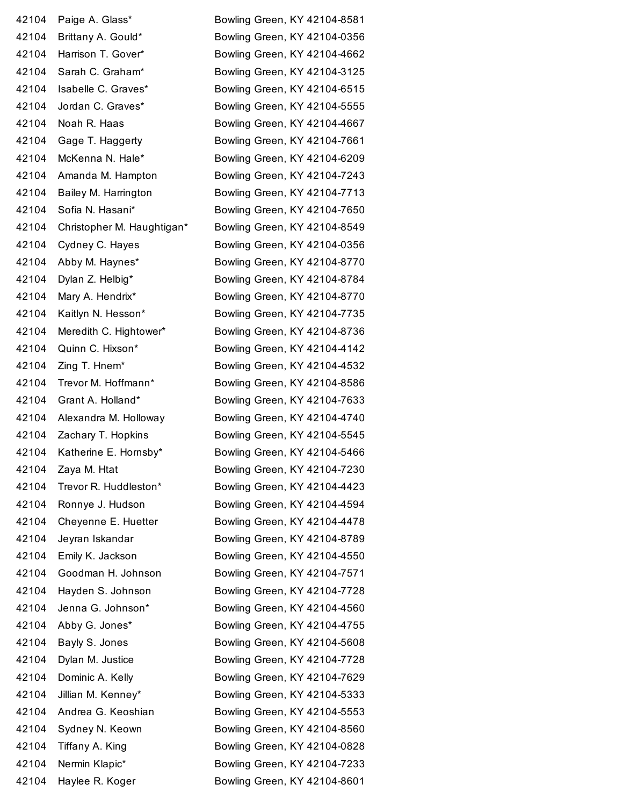| 42104 | Paige A. Glass*            | Bowling Green, KY 42104-8581 |
|-------|----------------------------|------------------------------|
| 42104 | Brittany A. Gould*         | Bowling Green, KY 42104-0356 |
| 42104 | Harrison T. Gover*         | Bowling Green, KY 42104-4662 |
| 42104 | Sarah C. Graham*           | Bowling Green, KY 42104-3125 |
| 42104 | Isabelle C. Graves*        | Bowling Green, KY 42104-6515 |
| 42104 | Jordan C. Graves*          | Bowling Green, KY 42104-5555 |
| 42104 | Noah R. Haas               | Bowling Green, KY 42104-4667 |
| 42104 | Gage T. Haggerty           | Bowling Green, KY 42104-7661 |
| 42104 | McKenna N. Hale*           | Bowling Green, KY 42104-6209 |
| 42104 | Amanda M. Hampton          | Bowling Green, KY 42104-7243 |
| 42104 | Bailey M. Harrington       | Bowling Green, KY 42104-7713 |
| 42104 | Sofia N. Hasani*           | Bowling Green, KY 42104-7650 |
| 42104 | Christopher M. Haughtigan* | Bowling Green, KY 42104-8549 |
| 42104 | Cydney C. Hayes            | Bowling Green, KY 42104-0356 |
| 42104 | Abby M. Haynes*            | Bowling Green, KY 42104-8770 |
| 42104 | Dylan Z. Helbig*           | Bowling Green, KY 42104-8784 |
| 42104 | Mary A. Hendrix*           | Bowling Green, KY 42104-8770 |
| 42104 | Kaitlyn N. Hesson*         | Bowling Green, KY 42104-7735 |
| 42104 | Meredith C. Hightower*     | Bowling Green, KY 42104-8736 |
| 42104 | Quinn C. Hixson*           | Bowling Green, KY 42104-4142 |
| 42104 | Zing T. Hnem*              | Bowling Green, KY 42104-4532 |
| 42104 | Trevor M. Hoffmann*        | Bowling Green, KY 42104-8586 |
| 42104 | Grant A. Holland*          | Bowling Green, KY 42104-7633 |
| 42104 | Alexandra M. Holloway      | Bowling Green, KY 42104-4740 |
| 42104 | Zachary T. Hopkins         | Bowling Green, KY 42104-5545 |
| 42104 | Katherine E. Hornsby*      | Bowling Green, KY 42104-5466 |
| 42104 | Zaya M. Htat               | Bowling Green, KY 42104-7230 |
| 42104 | Trevor R. Huddleston*      | Bowling Green, KY 42104-4423 |
| 42104 | Ronnye J. Hudson           | Bowling Green, KY 42104-4594 |
| 42104 | Cheyenne E. Huetter        | Bowling Green, KY 42104-4478 |
| 42104 | Jeyran Iskandar            | Bowling Green, KY 42104-8789 |
| 42104 | Emily K. Jackson           | Bowling Green, KY 42104-4550 |
| 42104 | Goodman H. Johnson         | Bowling Green, KY 42104-7571 |
| 42104 | Hayden S. Johnson          | Bowling Green, KY 42104-7728 |
| 42104 | Jenna G. Johnson*          | Bowling Green, KY 42104-4560 |
| 42104 | Abby G. Jones*             | Bowling Green, KY 42104-4755 |
| 42104 | Bayly S. Jones             | Bowling Green, KY 42104-5608 |
| 42104 | Dylan M. Justice           | Bowling Green, KY 42104-7728 |
| 42104 | Dominic A. Kelly           | Bowling Green, KY 42104-7629 |
| 42104 | Jillian M. Kenney*         | Bowling Green, KY 42104-5333 |
| 42104 | Andrea G. Keoshian         | Bowling Green, KY 42104-5553 |
| 42104 | Sydney N. Keown            | Bowling Green, KY 42104-8560 |
| 42104 | Tiffany A. King            | Bowling Green, KY 42104-0828 |
| 42104 | Nermin Klapic*             | Bowling Green, KY 42104-7233 |
| 42104 | Haylee R. Koger            | Bowling Green, KY 42104-8601 |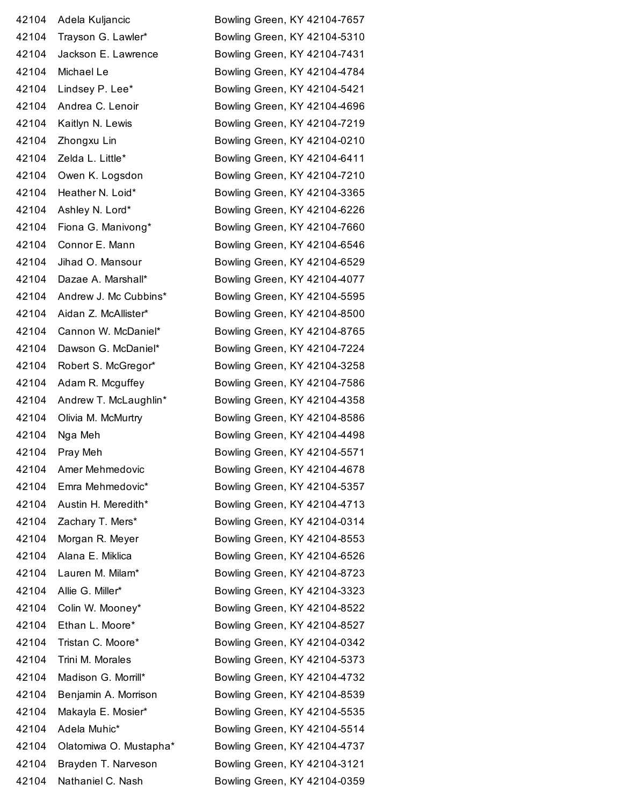| 42104 | Adela Kuljancic         |
|-------|-------------------------|
| 42104 | Trayson G. Lawler*      |
| 42104 | Jackson E. Lawrence     |
| 42104 | Michael Le              |
| 42104 | Lindsey P. Lee*         |
| 42104 | Andrea C. Lenoir        |
| 42104 | Kaitlyn N. Lewis        |
| 42104 | Zhongxu Lin             |
| 42104 | Zelda L. Little*        |
| 42104 | Owen K. Logsdon         |
| 42104 | Heather N. Loid*        |
| 42104 | Ashley N. Lord*         |
| 42104 | Fiona G. Manivong*      |
| 42104 | Connor E. Mann          |
| 42104 | Jihad O. Mansour        |
| 42104 | Dazae A. Marshall*      |
| 42104 | Andrew J. Mc Cubbins*   |
| 42104 | Aidan Z. McAllister*    |
| 42104 | Cannon W. McDaniel*     |
| 42104 | Dawson G. McDaniel*     |
| 42104 | Robert S. McGregor*     |
| 42104 | Adam R. Mcguffey        |
| 42104 | Andrew T. McLaughlin*   |
| 42104 | Olivia M. McMurtry      |
| 42104 | Nga Meh                 |
| 42104 | Pray Meh                |
| 42104 | Amer Mehmedovic         |
| 42104 | Emra Mehmedovic*        |
| 42104 | Austin H. Meredith*     |
| 42104 | Zachary T. Mers*        |
| 42104 | Morgan R. Meyer         |
| 42104 | Alana E. Miklica        |
| 42104 | Lauren M. Milam*        |
| 42104 | Allie G. Miller*        |
| 42104 | Colin W. Mooney*        |
| 42104 | Ethan L. Moore*         |
| 42104 | Tristan C. Moore*       |
| 42104 | Trini M. Morales        |
| 42104 | Madison G. Morrill*     |
| 42104 | Benjamin A. Morrison    |
| 42104 | Makayla E. Mosier*      |
| 42104 | Adela Muhic*            |
| 42104 | Olatomiwa O. Mustapha   |
| 42104 | Brayden T. Narveson     |
|       | 42104 Nathaniel C. Nash |

Bowling Green, KY 42104-7657 Bowling Green, KY 42104-5310 Bowling Green, KY 42104-7431 Bowling Green, KY 42104-4784 Bowling Green, KY 42104-5421 Bowling Green, KY 42104-4696 Bowling Green, KY 42104-7219 Bowling Green, KY 42104-0210 Bowling Green, KY 42104-6411 Bowling Green, KY 42104-7210 Bowling Green, KY 42104-3365 Bowling Green, KY 42104-6226 Bowling Green, KY 42104-7660 Bowling Green, KY 42104-6546 Bowling Green, KY 42104-6529 Bowling Green, KY 42104-4077 Bowling Green, KY 42104-5595 Bowling Green, KY 42104-8500 Bowling Green, KY 42104-8765 Bowling Green, KY 42104-7224 Bowling Green, KY 42104-3258 Bowling Green, KY 42104-7586 Bowling Green, KY 42104-4358 Bowling Green, KY 42104-8586 Bowling Green, KY 42104-4498 Bowling Green, KY 42104-5571 Bowling Green, KY 42104-4678 Bowling Green, KY 42104-5357 Bowling Green, KY 42104-4713 Bowling Green, KY 42104-0314 Bowling Green, KY 42104-8553 Bowling Green, KY 42104-6526 Bowling Green, KY 42104-8723 Bowling Green, KY 42104-3323 Bowling Green, KY 42104-8522 Bowling Green, KY 42104-8527 Bowling Green, KY 42104-0342 Bowling Green, KY 42104-5373 Bowling Green, KY 42104-4732 Bowling Green, KY 42104-8539 Bowling Green, KY 42104-5535 Bowling Green, KY 42104-5514 a\* Bowling Green, KY 42104-4737 Bowling Green, KY 42104-3121 Bowling Green, KY 42104-0359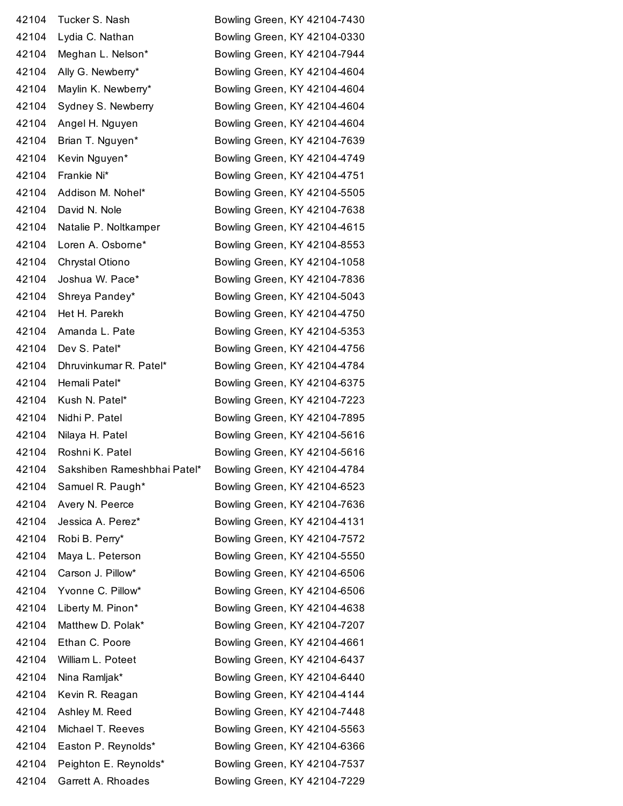| 42104 | Tucker S. Nash              | Bowling Green, KY 42104-7430 |
|-------|-----------------------------|------------------------------|
| 42104 | Lydia C. Nathan             | Bowling Green, KY 42104-0330 |
| 42104 | Meghan L. Nelson*           | Bowling Green, KY 42104-7944 |
| 42104 | Ally G. Newberry*           | Bowling Green, KY 42104-4604 |
| 42104 | Maylin K. Newberry*         | Bowling Green, KY 42104-4604 |
| 42104 | Sydney S. Newberry          | Bowling Green, KY 42104-4604 |
| 42104 | Angel H. Nguyen             | Bowling Green, KY 42104-4604 |
| 42104 | Brian T. Nguyen*            | Bowling Green, KY 42104-7639 |
| 42104 | Kevin Nguyen*               | Bowling Green, KY 42104-4749 |
| 42104 | Frankie Ni*                 | Bowling Green, KY 42104-4751 |
| 42104 | Addison M. Nohel*           | Bowling Green, KY 42104-5505 |
| 42104 | David N. Nole               | Bowling Green, KY 42104-7638 |
| 42104 | Natalie P. Noltkamper       | Bowling Green, KY 42104-4615 |
| 42104 | Loren A. Osborne*           | Bowling Green, KY 42104-8553 |
| 42104 | Chrystal Otiono             | Bowling Green, KY 42104-1058 |
| 42104 | Joshua W. Pace*             | Bowling Green, KY 42104-7836 |
| 42104 | Shreya Pandey*              | Bowling Green, KY 42104-5043 |
| 42104 | Het H. Parekh               | Bowling Green, KY 42104-4750 |
| 42104 | Amanda L. Pate              | Bowling Green, KY 42104-5353 |
| 42104 | Dev S. Patel*               | Bowling Green, KY 42104-4756 |
| 42104 | Dhruvinkumar R. Patel*      | Bowling Green, KY 42104-4784 |
| 42104 | Hemali Patel*               | Bowling Green, KY 42104-6375 |
| 42104 | Kush N. Patel*              | Bowling Green, KY 42104-7223 |
| 42104 | Nidhi P. Patel              | Bowling Green, KY 42104-7895 |
| 42104 | Nilaya H. Patel             | Bowling Green, KY 42104-5616 |
| 42104 | Roshni K. Patel             | Bowling Green, KY 42104-5616 |
| 42104 | Sakshiben Rameshbhai Patel* | Bowling Green, KY 42104-4784 |
| 42104 | Samuel R. Paugh*            | Bowling Green, KY 42104-6523 |
| 42104 | Avery N. Peerce             | Bowling Green, KY 42104-7636 |
| 42104 | Jessica A. Perez*           | Bowling Green, KY 42104-4131 |
| 42104 | Robi B. Perry*              | Bowling Green, KY 42104-7572 |
| 42104 | Maya L. Peterson            | Bowling Green, KY 42104-5550 |
| 42104 | Carson J. Pillow*           | Bowling Green, KY 42104-6506 |
| 42104 | Yvonne C. Pillow*           | Bowling Green, KY 42104-6506 |
| 42104 | Liberty M. Pinon*           | Bowling Green, KY 42104-4638 |
| 42104 | Matthew D. Polak*           | Bowling Green, KY 42104-7207 |
| 42104 | Ethan C. Poore              | Bowling Green, KY 42104-4661 |
| 42104 | William L. Poteet           | Bowling Green, KY 42104-6437 |
| 42104 | Nina Ramljak*               | Bowling Green, KY 42104-6440 |
| 42104 | Kevin R. Reagan             | Bowling Green, KY 42104-4144 |
| 42104 | Ashley M. Reed              | Bowling Green, KY 42104-7448 |
| 42104 | Michael T. Reeves           | Bowling Green, KY 42104-5563 |
| 42104 | Easton P. Reynolds*         | Bowling Green, KY 42104-6366 |
| 42104 | Peighton E. Reynolds*       | Bowling Green, KY 42104-7537 |
| 42104 | Garrett A. Rhoades          | Bowling Green, KY 42104-7229 |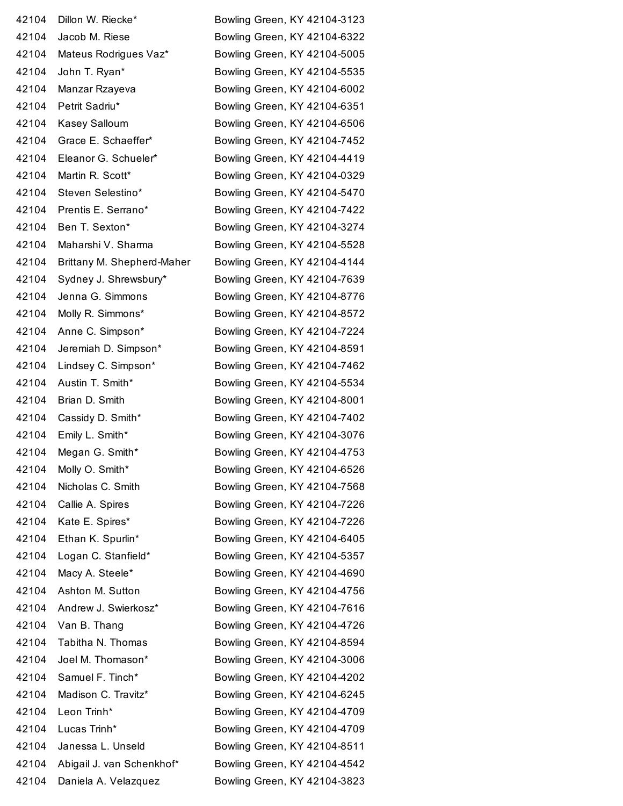| 42104 | Dillon W. Riecke*          | Bowling Green, KY 42104-3123 |
|-------|----------------------------|------------------------------|
| 42104 | Jacob M. Riese             | Bowling Green, KY 42104-6322 |
| 42104 | Mateus Rodrigues Vaz*      | Bowling Green, KY 42104-5005 |
| 42104 | John T. Ryan*              | Bowling Green, KY 42104-5535 |
| 42104 | Manzar Rzayeva             | Bowling Green, KY 42104-6002 |
| 42104 | Petrit Sadriu*             | Bowling Green, KY 42104-6351 |
| 42104 | Kasey Salloum              | Bowling Green, KY 42104-6506 |
| 42104 | Grace E. Schaeffer*        | Bowling Green, KY 42104-7452 |
| 42104 | Eleanor G. Schueler*       | Bowling Green, KY 42104-4419 |
| 42104 | Martin R. Scott*           | Bowling Green, KY 42104-0329 |
| 42104 | Steven Selestino*          | Bowling Green, KY 42104-5470 |
| 42104 | Prentis E. Serrano*        | Bowling Green, KY 42104-7422 |
| 42104 | Ben T. Sexton*             | Bowling Green, KY 42104-3274 |
| 42104 | Maharshi V. Sharma         | Bowling Green, KY 42104-5528 |
| 42104 | Brittany M. Shepherd-Maher | Bowling Green, KY 42104-4144 |
| 42104 | Sydney J. Shrewsbury*      | Bowling Green, KY 42104-7639 |
| 42104 | Jenna G. Simmons           | Bowling Green, KY 42104-8776 |
| 42104 | Molly R. Simmons*          | Bowling Green, KY 42104-8572 |
| 42104 | Anne C. Simpson*           | Bowling Green, KY 42104-7224 |
| 42104 | Jeremiah D. Simpson*       | Bowling Green, KY 42104-8591 |
| 42104 | Lindsey C. Simpson*        | Bowling Green, KY 42104-7462 |
| 42104 | Austin T. Smith*           | Bowling Green, KY 42104-5534 |
| 42104 | Brian D. Smith             | Bowling Green, KY 42104-8001 |
| 42104 | Cassidy D. Smith*          | Bowling Green, KY 42104-7402 |
| 42104 | Emily L. Smith*            | Bowling Green, KY 42104-3076 |
| 42104 | Megan G. Smith*            | Bowling Green, KY 42104-4753 |
| 42104 | Molly O. Smith*            | Bowling Green, KY 42104-6526 |
| 42104 | Nicholas C. Smith          | Bowling Green, KY 42104-7568 |
| 42104 | Callie A. Spires           | Bowling Green, KY 42104-7226 |
| 42104 | Kate E. Spires*            | Bowling Green, KY 42104-7226 |
| 42104 | Ethan K. Spurlin*          | Bowling Green, KY 42104-6405 |
| 42104 | Logan C. Stanfield*        | Bowling Green, KY 42104-5357 |
| 42104 | Macy A. Steele*            | Bowling Green, KY 42104-4690 |
| 42104 | Ashton M. Sutton           | Bowling Green, KY 42104-4756 |
| 42104 | Andrew J. Swierkosz*       | Bowling Green, KY 42104-7616 |
| 42104 | Van B. Thang               | Bowling Green, KY 42104-4726 |
| 42104 | Tabitha N. Thomas          | Bowling Green, KY 42104-8594 |
| 42104 | Joel M. Thomason*          | Bowling Green, KY 42104-3006 |
| 42104 | Samuel F. Tinch*           | Bowling Green, KY 42104-4202 |
| 42104 | Madison C. Travitz*        | Bowling Green, KY 42104-6245 |
| 42104 | Leon Trinh*                | Bowling Green, KY 42104-4709 |
| 42104 | Lucas Trinh*               | Bowling Green, KY 42104-4709 |
| 42104 | Janessa L. Unseld          | Bowling Green, KY 42104-8511 |
| 42104 | Abigail J. van Schenkhof*  | Bowling Green, KY 42104-4542 |
| 42104 | Daniela A. Velazquez       | Bowling Green, KY 42104-3823 |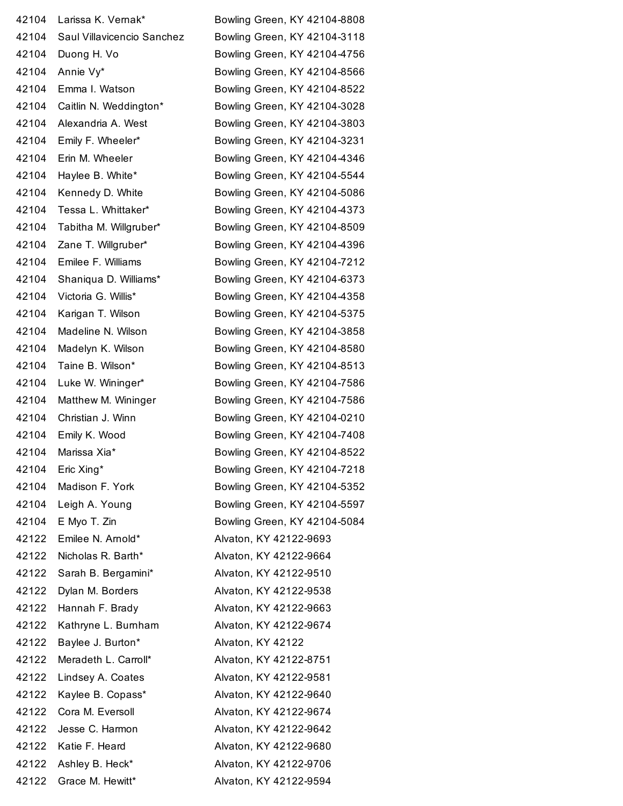| 42104 | Larissa K. Vernak*         | Bowling Green, KY 42104-8808 |
|-------|----------------------------|------------------------------|
| 42104 | Saul Villavicencio Sanchez | Bowling Green, KY 42104-3118 |
| 42104 | Duong H. Vo                | Bowling Green, KY 42104-4756 |
| 42104 | Annie Vy*                  | Bowling Green, KY 42104-8566 |
| 42104 | Emma I. Watson             | Bowling Green, KY 42104-8522 |
| 42104 | Caitlin N. Weddington*     | Bowling Green, KY 42104-3028 |
| 42104 | Alexandria A. West         | Bowling Green, KY 42104-3803 |
| 42104 | Emily F. Wheeler*          | Bowling Green, KY 42104-3231 |
| 42104 | Erin M. Wheeler            | Bowling Green, KY 42104-4346 |
| 42104 | Haylee B. White*           | Bowling Green, KY 42104-5544 |
| 42104 | Kennedy D. White           | Bowling Green, KY 42104-5086 |
| 42104 | Tessa L. Whittaker*        | Bowling Green, KY 42104-4373 |
| 42104 | Tabitha M. Willgruber*     | Bowling Green, KY 42104-8509 |
| 42104 | Zane T. Willgruber*        | Bowling Green, KY 42104-4396 |
| 42104 | Emilee F. Williams         | Bowling Green, KY 42104-7212 |
| 42104 | Shaniqua D. Williams*      | Bowling Green, KY 42104-6373 |
| 42104 | Victoria G. Willis*        | Bowling Green, KY 42104-4358 |
| 42104 | Karigan T. Wilson          | Bowling Green, KY 42104-5375 |
| 42104 | Madeline N. Wilson         | Bowling Green, KY 42104-3858 |
| 42104 | Madelyn K. Wilson          | Bowling Green, KY 42104-8580 |
| 42104 | Taine B. Wilson*           | Bowling Green, KY 42104-8513 |
| 42104 | Luke W. Wininger*          | Bowling Green, KY 42104-7586 |
| 42104 | Matthew M. Wininger        | Bowling Green, KY 42104-7586 |
| 42104 | Christian J. Winn          | Bowling Green, KY 42104-0210 |
| 42104 | Emily K. Wood              | Bowling Green, KY 42104-7408 |
| 42104 | Marissa Xia*               | Bowling Green, KY 42104-8522 |
| 42104 | Eric Xing*                 | Bowling Green, KY 42104-7218 |
| 42104 | Madison F. York            | Bowling Green, KY 42104-5352 |
| 42104 | Leigh A. Young             | Bowling Green, KY 42104-5597 |
| 42104 | E Myo T. Zin               | Bowling Green, KY 42104-5084 |
| 42122 | Emilee N. Arnold*          | Alvaton, KY 42122-9693       |
| 42122 | Nicholas R. Barth*         | Alvaton, KY 42122-9664       |
| 42122 | Sarah B. Bergamini*        | Alvaton, KY 42122-9510       |
| 42122 | Dylan M. Borders           | Alvaton, KY 42122-9538       |
| 42122 | Hannah F. Brady            | Alvaton, KY 42122-9663       |
| 42122 | Kathryne L. Burnham        | Alvaton, KY 42122-9674       |
| 42122 | Baylee J. Burton*          | Alvaton, KY 42122            |
| 42122 | Meradeth L. Carroll*       | Alvaton, KY 42122-8751       |
| 42122 | Lindsey A. Coates          | Alvaton, KY 42122-9581       |
| 42122 | Kaylee B. Copass*          | Alvaton, KY 42122-9640       |
| 42122 | Cora M. Eversoll           | Alvaton, KY 42122-9674       |
| 42122 | Jesse C. Harmon            | Alvaton, KY 42122-9642       |
| 42122 | Katie F. Heard             | Alvaton, KY 42122-9680       |
| 42122 | Ashley B. Heck*            | Alvaton, KY 42122-9706       |
| 42122 | Grace M. Hewitt*           | Alvaton, KY 42122-9594       |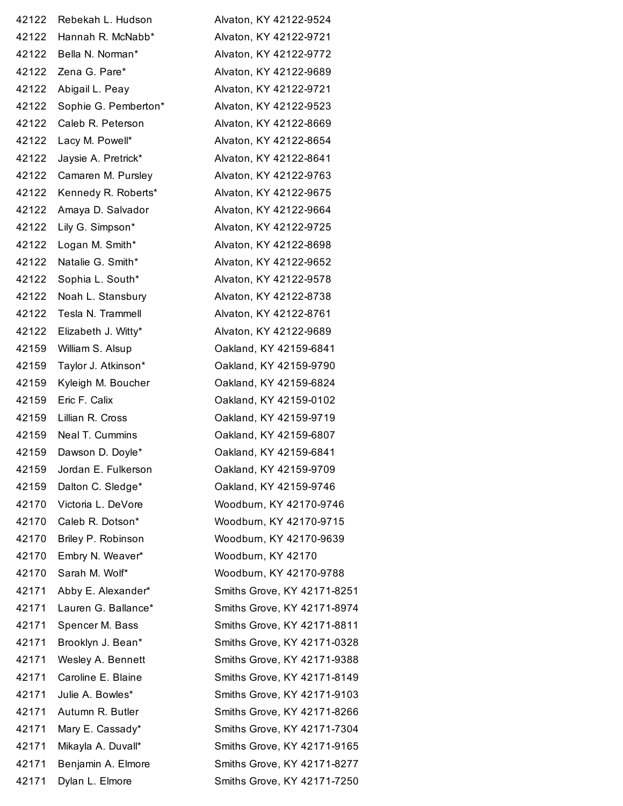| 42122 | Rebekah L. Hudson         | Alvaton, KY 42122-9524      |
|-------|---------------------------|-----------------------------|
| 42122 | Hannah R. McNabb*         | Alvaton, KY 42122-9721      |
| 42122 | Bella N. Norman*          | Alvaton, KY 42122-9772      |
| 42122 | Zena G. Pare*             | Alvaton, KY 42122-9689      |
| 42122 | Abigail L. Peay           | Alvaton, KY 42122-9721      |
| 42122 | Sophie G. Pemberton*      | Alvaton, KY 42122-9523      |
| 42122 | Caleb R. Peterson         | Alvaton, KY 42122-8669      |
| 42122 | Lacy M. Powell*           | Alvaton, KY 42122-8654      |
| 42122 | Jaysie A. Pretrick*       | Alvaton, KY 42122-8641      |
| 42122 | Camaren M. Pursley        | Alvaton, KY 42122-9763      |
| 42122 | Kennedy R. Roberts*       | Alvaton, KY 42122-9675      |
| 42122 | Amaya D. Salvador         | Alvaton, KY 42122-9664      |
| 42122 | Lily G. Simpson*          | Alvaton, KY 42122-9725      |
| 42122 | Logan M. Smith*           | Alvaton, KY 42122-8698      |
| 42122 | Natalie G. Smith*         | Alvaton, KY 42122-9652      |
| 42122 | Sophia L. South*          | Alvaton, KY 42122-9578      |
| 42122 | Noah L. Stansbury         | Alvaton, KY 42122-8738      |
| 42122 | Tesla N. Trammell         | Alvaton, KY 42122-8761      |
| 42122 | Elizabeth J. Witty*       | Alvaton, KY 42122-9689      |
| 42159 | William S. Alsup          | Oakland, KY 42159-6841      |
| 42159 | Taylor J. Atkinson*       | Oakland, KY 42159-9790      |
| 42159 | Kyleigh M. Boucher        | Oakland, KY 42159-6824      |
| 42159 | Eric F. Calix             | Oakland, KY 42159-0102      |
| 42159 | Lillian R. Cross          | Oakland, KY 42159-9719      |
| 42159 | Neal T. Cummins           | Oakland, KY 42159-6807      |
| 42159 | Dawson D. Doyle*          | Oakland, KY 42159-6841      |
|       | 42159 Jordan E. Fulkerson | Oakland, KY 42159-9709      |
| 42159 | Dalton C. Sledge*         | Oakland, KY 42159-9746      |
| 42170 | Victoria L. DeVore        | Woodburn, KY 42170-9746     |
| 42170 | Caleb R. Dotson*          | Woodburn, KY 42170-9715     |
| 42170 | Briley P. Robinson        | Woodburn, KY 42170-9639     |
| 42170 | Embry N. Weaver*          | Woodburn, KY 42170          |
| 42170 | Sarah M. Wolf*            | Woodburn, KY 42170-9788     |
| 42171 | Abby E. Alexander*        | Smiths Grove, KY 42171-8251 |
| 42171 | Lauren G. Ballance*       | Smiths Grove, KY 42171-8974 |
| 42171 | Spencer M. Bass           | Smiths Grove, KY 42171-8811 |
| 42171 | Brooklyn J. Bean*         | Smiths Grove, KY 42171-0328 |
| 42171 | Wesley A. Bennett         | Smiths Grove, KY 42171-9388 |
| 42171 | Caroline E. Blaine        | Smiths Grove, KY 42171-8149 |
| 42171 | Julie A. Bowles*          | Smiths Grove, KY 42171-9103 |
| 42171 | Autumn R. Butler          | Smiths Grove, KY 42171-8266 |
| 42171 | Mary E. Cassady*          | Smiths Grove, KY 42171-7304 |
| 42171 | Mikayla A. Duvall*        | Smiths Grove, KY 42171-9165 |
| 42171 | Benjamin A. Elmore        | Smiths Grove, KY 42171-8277 |
| 42171 | Dylan L. Elmore           | Smiths Grove, KY 42171-7250 |